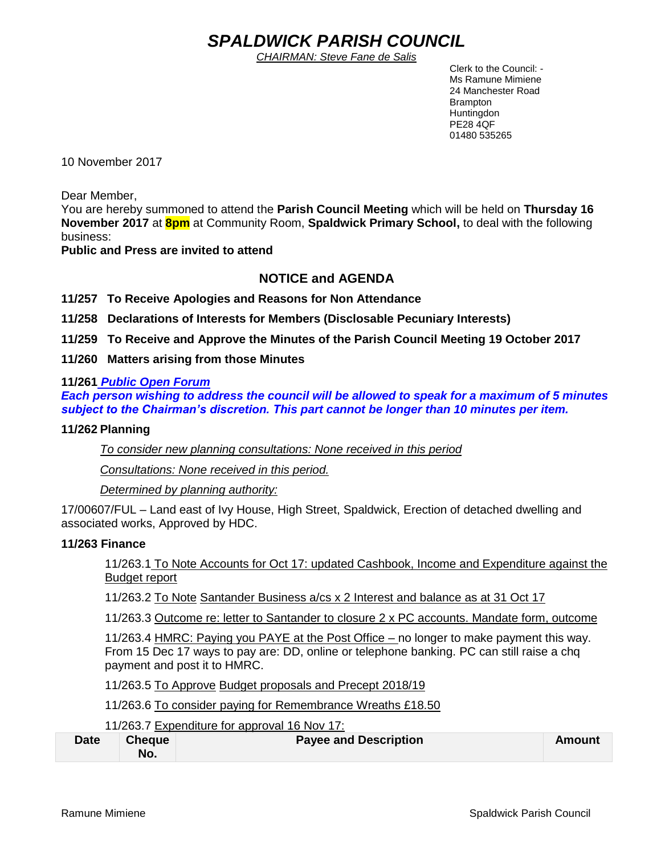# *SPALDWICK PARISH COUNCIL*

*CHAIRMAN: Steve Fane de Salis*

 Clerk to the Council: - Ms Ramune Mimiene 24 Manchester Road Brampton **Huntingdon** PE28 4QF 01480 535265

10 November 2017

Dear Member,

You are hereby summoned to attend the **Parish Council Meeting** which will be held on **Thursday 16 November 2017** at **8pm** at Community Room, **Spaldwick Primary School,** to deal with the following business:

**Public and Press are invited to attend**

## **NOTICE and AGENDA**

**11/257 To Receive Apologies and Reasons for Non Attendance**

**11/258 Declarations of Interests for Members (Disclosable Pecuniary Interests)**

**11/259 To Receive and Approve the Minutes of the Parish Council Meeting 19 October 2017**

**11/260 Matters arising from those Minutes**

### **11/261** *Public Open Forum*

*Each person wishing to address the council will be allowed to speak for a maximum of 5 minutes subject to the Chairman's discretion. This part cannot be longer than 10 minutes per item.* 

### **11/262 Planning**

*To consider new planning consultations: None received in this period*

*Consultations: None received in this period.*

*Determined by planning authority:*

17/00607/FUL – Land east of Ivy House, High Street, Spaldwick, Erection of detached dwelling and associated works, Approved by HDC.

### **11/263 Finance**

11/263.1 To Note Accounts for Oct 17: updated Cashbook, Income and Expenditure against the Budget report

11/263.2 To Note Santander Business a/cs x 2 Interest and balance as at 31 Oct 17

11/263.3 Outcome re: letter to Santander to closure 2 x PC accounts. Mandate form, outcome

11/263.4 HMRC: Paying you PAYE at the Post Office – no longer to make payment this way. From 15 Dec 17 ways to pay are: DD, online or telephone banking. PC can still raise a chq payment and post it to HMRC.

11/263.5 To Approve Budget proposals and Precept 2018/19

11/263.6 To consider paying for Remembrance Wreaths £18.50

11/263.7 Expenditure for approval 16 Nov 17:

| <b>Date</b> | <b>Cheque</b> | <b>Payee and Description</b> | Amount |
|-------------|---------------|------------------------------|--------|
|             | No.           |                              |        |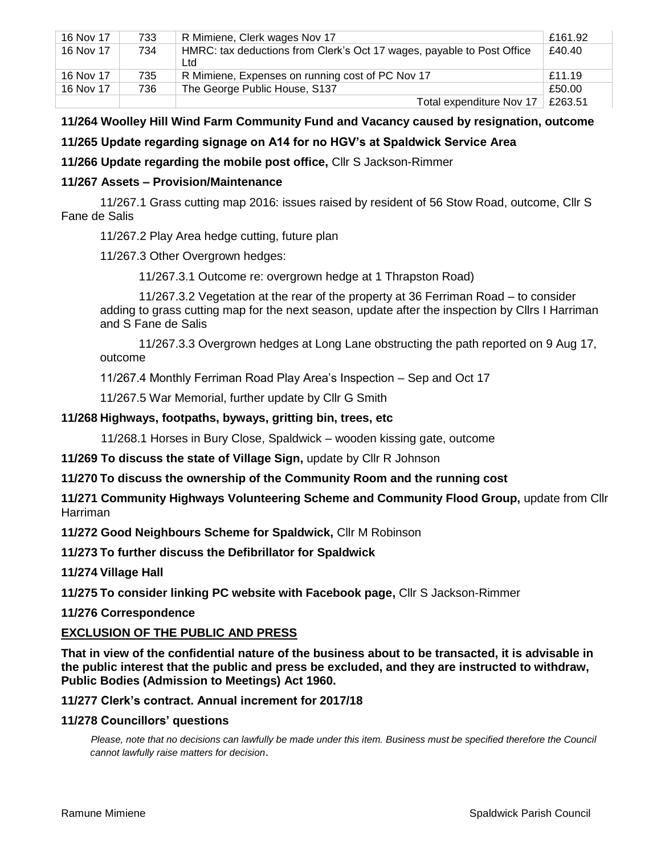| 16 Nov 17 | 733 | R Mimiene, Clerk wages Nov 17                                                 | £161.92 |
|-----------|-----|-------------------------------------------------------------------------------|---------|
| 16 Nov 17 | 734 | HMRC: tax deductions from Clerk's Oct 17 wages, payable to Post Office<br>Ltd | £40.40  |
| 16 Nov 17 | 735 | R Mimiene, Expenses on running cost of PC Nov 17                              | £11.19  |
| 16 Nov 17 | 736 | The George Public House, S137                                                 | £50.00  |
|           |     | Total expenditure Nov 17                                                      | £263.51 |

## **11/264 Woolley Hill Wind Farm Community Fund and Vacancy caused by resignation, outcome**

## **11/265 Update regarding signage on A14 for no HGV's at Spaldwick Service Area**

**11/266 Update regarding the mobile post office,** Cllr S Jackson-Rimmer

#### **11/267 Assets – Provision/Maintenance**

11/267.1 Grass cutting map 2016: issues raised by resident of 56 Stow Road, outcome, Cllr S Fane de Salis

11/267.2 Play Area hedge cutting, future plan

11/267.3 Other Overgrown hedges:

11/267.3.1 Outcome re: overgrown hedge at 1 Thrapston Road)

11/267.3.2 Vegetation at the rear of the property at 36 Ferriman Road – to consider adding to grass cutting map for the next season, update after the inspection by Cllrs I Harriman and S Fane de Salis

11/267.3.3 Overgrown hedges at Long Lane obstructing the path reported on 9 Aug 17, outcome

11/267.4 Monthly Ferriman Road Play Area's Inspection – Sep and Oct 17

11/267.5 War Memorial, further update by Cllr G Smith

#### **11/268 Highways, footpaths, byways, gritting bin, trees, etc**

11/268.1 Horses in Bury Close, Spaldwick – wooden kissing gate, outcome

**11/269 To discuss the state of Village Sign,** update by Cllr R Johnson

**11/270 To discuss the ownership of the Community Room and the running cost** 

**11/271 Community Highways Volunteering Scheme and Community Flood Group,** update from Cllr Harriman

**11/272 Good Neighbours Scheme for Spaldwick,** Cllr M Robinson

**11/273 To further discuss the Defibrillator for Spaldwick**

**11/274 Village Hall** 

**11/275 To consider linking PC website with Facebook page,** Cllr S Jackson-Rimmer

**11/276 Correspondence**

#### **EXCLUSION OF THE PUBLIC AND PRESS**

**That in view of the confidential nature of the business about to be transacted, it is advisable in the public interest that the public and press be excluded, and they are instructed to withdraw, Public Bodies (Admission to Meetings) Act 1960.**

**11/277 Clerk's contract. Annual increment for 2017/18**

#### **11/278 Councillors' questions**

*Please, note that no decisions can lawfully be made under this item. Business must be specified therefore the Council cannot lawfully raise matters for decision*.